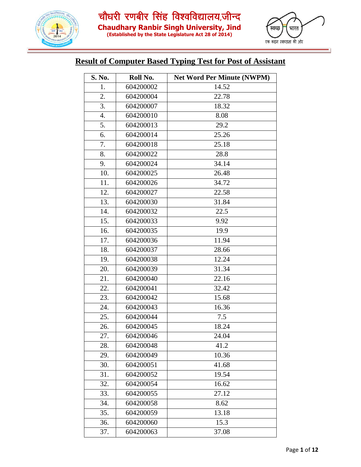



#### **Result of Computer Based Typing Test for Post of Assistant**

| S. No. | Roll No.  | <b>Net Word Per Minute (NWPM)</b> |
|--------|-----------|-----------------------------------|
| 1.     | 604200002 | 14.52                             |
| 2.     | 604200004 | 22.78                             |
| 3.     | 604200007 | 18.32                             |
| 4.     | 604200010 | 8.08                              |
| 5.     | 604200013 | 29.2                              |
| 6.     | 604200014 | 25.26                             |
| 7.     | 604200018 | 25.18                             |
| 8.     | 604200022 | 28.8                              |
| 9.     | 604200024 | 34.14                             |
| 10.    | 604200025 | 26.48                             |
| 11.    | 604200026 | 34.72                             |
| 12.    | 604200027 | 22.58                             |
| 13.    | 604200030 | 31.84                             |
| 14.    | 604200032 | 22.5                              |
| 15.    | 604200033 | 9.92                              |
| 16.    | 604200035 | 19.9                              |
| 17.    | 604200036 | 11.94                             |
| 18.    | 604200037 | 28.66                             |
| 19.    | 604200038 | 12.24                             |
| 20.    | 604200039 | 31.34                             |
| 21.    | 604200040 | 22.16                             |
| 22.    | 604200041 | 32.42                             |
| 23.    | 604200042 | 15.68                             |
| 24.    | 604200043 | 16.36                             |
| 25.    | 604200044 | 7.5                               |
| 26.    | 604200045 | 18.24                             |
| 27.    | 604200046 | 24.04                             |
| 28.    | 604200048 | 41.2                              |
| 29.    | 604200049 | 10.36                             |
| 30.    | 604200051 | 41.68                             |
| 31.    | 604200052 | 19.54                             |
| 32.    | 604200054 | 16.62                             |
| 33.    | 604200055 | 27.12                             |
| 34.    | 604200058 | 8.62                              |
| 35.    | 604200059 | 13.18                             |
| 36.    | 604200060 | 15.3                              |
| 37.    | 604200063 | 37.08                             |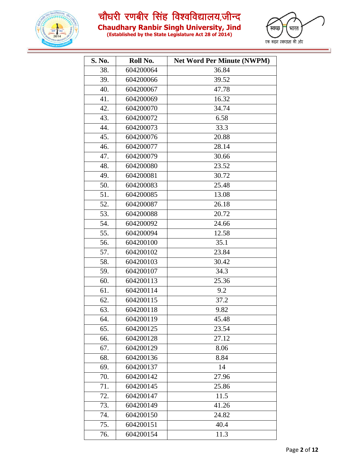

**Chaudhary Ranbir Singh University, Jind**



| S. No. | Roll No.  | <b>Net Word Per Minute (NWPM)</b> |
|--------|-----------|-----------------------------------|
| 38.    | 604200064 | 36.84                             |
| 39.    | 604200066 | 39.52                             |
| 40.    | 604200067 | 47.78                             |
| 41.    | 604200069 | 16.32                             |
| 42.    | 604200070 | 34.74                             |
| 43.    | 604200072 | 6.58                              |
| 44.    | 604200073 | 33.3                              |
| 45.    | 604200076 | 20.88                             |
| 46.    | 604200077 | 28.14                             |
| 47.    | 604200079 | 30.66                             |
| 48.    | 604200080 | 23.52                             |
| 49.    | 604200081 | 30.72                             |
| 50.    | 604200083 | 25.48                             |
| 51.    | 604200085 | 13.08                             |
| 52.    | 604200087 | 26.18                             |
| 53.    | 604200088 | 20.72                             |
| 54.    | 604200092 | 24.66                             |
| 55.    | 604200094 | 12.58                             |
| 56.    | 604200100 | 35.1                              |
| 57.    | 604200102 | 23.84                             |
| 58.    | 604200103 | 30.42                             |
| 59.    | 604200107 | 34.3                              |
| 60.    | 604200113 | 25.36                             |
| 61.    | 604200114 | 9.2                               |
| 62.    | 604200115 | 37.2                              |
| 63.    | 604200118 | 9.82                              |
| 64.    | 604200119 | 45.48                             |
| 65.    | 604200125 | 23.54                             |
| 66.    | 604200128 | 27.12                             |
| 67.    | 604200129 | 8.06                              |
| 68.    | 604200136 | 8.84                              |
| 69.    | 604200137 | 14                                |
| 70.    | 604200142 | 27.96                             |
| 71.    | 604200145 | 25.86                             |
| 72.    | 604200147 | 11.5                              |
| 73.    | 604200149 | 41.26                             |
| 74.    | 604200150 | 24.82                             |
| 75.    | 604200151 | 40.4                              |
| 76.    | 604200154 | 11.3                              |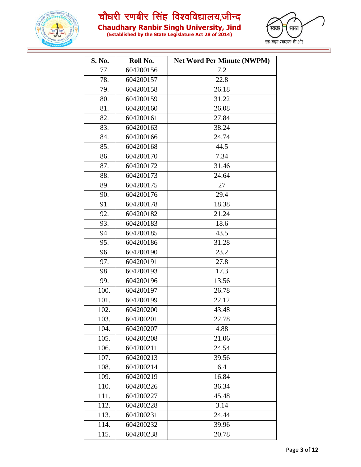

**Chaudhary Ranbir Singh University, Jind**



| S. No. | Roll No.  | <b>Net Word Per Minute (NWPM)</b> |
|--------|-----------|-----------------------------------|
| 77.    | 604200156 | 7.2                               |
| 78.    | 604200157 | 22.8                              |
| 79.    | 604200158 | 26.18                             |
| 80.    | 604200159 | 31.22                             |
| 81.    | 604200160 | 26.08                             |
| 82.    | 604200161 | 27.84                             |
| 83.    | 604200163 | 38.24                             |
| 84.    | 604200166 | 24.74                             |
| 85.    | 604200168 | 44.5                              |
| 86.    | 604200170 | 7.34                              |
| 87.    | 604200172 | 31.46                             |
| 88.    | 604200173 | 24.64                             |
| 89.    | 604200175 | 27                                |
| 90.    | 604200176 | 29.4                              |
| 91.    | 604200178 | 18.38                             |
| 92.    | 604200182 | 21.24                             |
| 93.    | 604200183 | 18.6                              |
| 94.    | 604200185 | 43.5                              |
| 95.    | 604200186 | 31.28                             |
| 96.    | 604200190 | 23.2                              |
| 97.    | 604200191 | 27.8                              |
| 98.    | 604200193 | 17.3                              |
| 99.    | 604200196 | 13.56                             |
| 100.   | 604200197 | 26.78                             |
| 101.   | 604200199 | 22.12                             |
| 102.   | 604200200 | 43.48                             |
| 103.   | 604200201 | 22.78                             |
| 104.   | 604200207 | 4.88                              |
| 105.   | 604200208 | 21.06                             |
| 106.   | 604200211 | 24.54                             |
| 107.   | 604200213 | 39.56                             |
| 108.   | 604200214 | 6.4                               |
| 109.   | 604200219 | 16.84                             |
| 110.   | 604200226 | 36.34                             |
| 111.   | 604200227 | 45.48                             |
| 112.   | 604200228 | 3.14                              |
| 113.   | 604200231 | 24.44                             |
| 114.   | 604200232 | 39.96                             |
| 115.   | 604200238 | 20.78                             |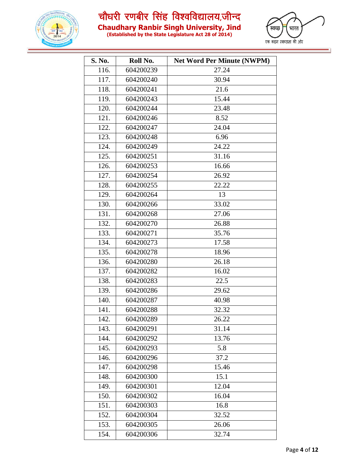



| S. No. | Roll No.  | <b>Net Word Per Minute (NWPM)</b> |
|--------|-----------|-----------------------------------|
| 116.   | 604200239 | 27.24                             |
| 117.   | 604200240 | 30.94                             |
| 118.   | 604200241 | 21.6                              |
| 119.   | 604200243 | 15.44                             |
| 120.   | 604200244 | 23.48                             |
| 121.   | 604200246 | 8.52                              |
| 122.   | 604200247 | 24.04                             |
| 123.   | 604200248 | 6.96                              |
| 124.   | 604200249 | 24.22                             |
| 125.   | 604200251 | 31.16                             |
| 126.   | 604200253 | 16.66                             |
| 127.   | 604200254 | 26.92                             |
| 128.   | 604200255 | 22.22                             |
| 129.   | 604200264 | 13                                |
| 130.   | 604200266 | 33.02                             |
| 131.   | 604200268 | 27.06                             |
| 132.   | 604200270 | 26.88                             |
| 133.   | 604200271 | 35.76                             |
| 134.   | 604200273 | 17.58                             |
| 135.   | 604200278 | 18.96                             |
| 136.   | 604200280 | 26.18                             |
| 137.   | 604200282 | 16.02                             |
| 138.   | 604200283 | 22.5                              |
| 139.   | 604200286 | 29.62                             |
| 140.   | 604200287 | 40.98                             |
| 141.   | 604200288 | 32.32                             |
| 142.   | 604200289 | 26.22                             |
| 143.   | 604200291 | 31.14                             |
| 144.   | 604200292 | 13.76                             |
| 145.   | 604200293 | 5.8                               |
| 146.   | 604200296 | 37.2                              |
| 147.   | 604200298 | 15.46                             |
| 148.   | 604200300 | 15.1                              |
| 149.   | 604200301 | 12.04                             |
| 150.   | 604200302 | 16.04                             |
| 151.   | 604200303 | 16.8                              |
| 152.   | 604200304 | 32.52                             |
| 153.   | 604200305 | 26.06                             |
| 154.   | 604200306 | 32.74                             |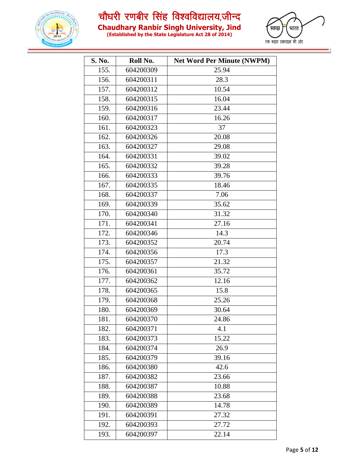



| S. No. | Roll No.  | <b>Net Word Per Minute (NWPM)</b> |
|--------|-----------|-----------------------------------|
| 155.   | 604200309 | 25.94                             |
| 156.   | 604200311 | 28.3                              |
| 157.   | 604200312 | 10.54                             |
| 158.   | 604200315 | 16.04                             |
| 159.   | 604200316 | 23.44                             |
| 160.   | 604200317 | 16.26                             |
| 161.   | 604200323 | 37                                |
| 162.   | 604200326 | 20.08                             |
| 163.   | 604200327 | 29.08                             |
| 164.   | 604200331 | 39.02                             |
| 165.   | 604200332 | 39.28                             |
| 166.   | 604200333 | 39.76                             |
| 167.   | 604200335 | 18.46                             |
| 168.   | 604200337 | 7.06                              |
| 169.   | 604200339 | 35.62                             |
| 170.   | 604200340 | 31.32                             |
| 171.   | 604200341 | 27.16                             |
| 172.   | 604200346 | 14.3                              |
| 173.   | 604200352 | 20.74                             |
| 174.   | 604200356 | 17.3                              |
| 175.   | 604200357 | 21.32                             |
| 176.   | 604200361 | 35.72                             |
| 177.   | 604200362 | 12.16                             |
| 178.   | 604200365 | 15.8                              |
| 179.   | 604200368 | 25.26                             |
| 180.   | 604200369 | 30.64                             |
| 181.   | 604200370 | 24.86                             |
| 182.   | 604200371 | 4.1                               |
| 183.   | 604200373 | 15.22                             |
| 184.   | 604200374 | 26.9                              |
| 185.   | 604200379 | 39.16                             |
| 186.   | 604200380 | 42.6                              |
| 187.   | 604200382 | 23.66                             |
| 188.   | 604200387 | 10.88                             |
| 189.   | 604200388 | 23.68                             |
| 190.   | 604200389 | 14.78                             |
| 191.   | 604200391 | 27.32                             |
| 192.   | 604200393 | 27.72                             |
| 193.   | 604200397 | 22.14                             |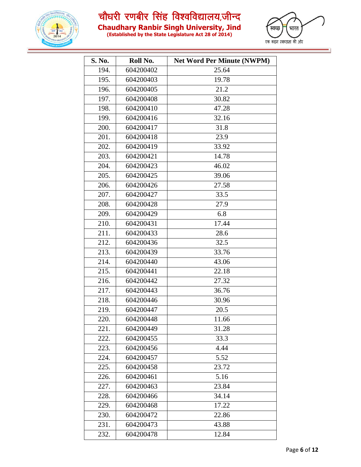



| S. No. | Roll No.  | <b>Net Word Per Minute (NWPM)</b> |
|--------|-----------|-----------------------------------|
| 194.   | 604200402 | 25.64                             |
| 195.   | 604200403 | 19.78                             |
| 196.   | 604200405 | 21.2                              |
| 197.   | 604200408 | 30.82                             |
| 198.   | 604200410 | 47.28                             |
| 199.   | 604200416 | 32.16                             |
| 200.   | 604200417 | 31.8                              |
| 201.   | 604200418 | 23.9                              |
| 202.   | 604200419 | 33.92                             |
| 203.   | 604200421 | 14.78                             |
| 204.   | 604200423 | 46.02                             |
| 205.   | 604200425 | 39.06                             |
| 206.   | 604200426 | 27.58                             |
| 207.   | 604200427 | 33.5                              |
| 208.   | 604200428 | 27.9                              |
| 209.   | 604200429 | 6.8                               |
| 210.   | 604200431 | 17.44                             |
| 211.   | 604200433 | 28.6                              |
| 212.   | 604200436 | 32.5                              |
| 213.   | 604200439 | 33.76                             |
| 214.   | 604200440 | 43.06                             |
| 215.   | 604200441 | 22.18                             |
| 216.   | 604200442 | 27.32                             |
| 217.   | 604200443 | 36.76                             |
| 218.   | 604200446 | 30.96                             |
| 219.   | 604200447 | 20.5                              |
| 220.   | 604200448 | 11.66                             |
| 221.   | 604200449 | 31.28                             |
| 222.   | 604200455 | 33.3                              |
| 223.   | 604200456 | 4.44                              |
| 224.   | 604200457 | 5.52                              |
| 225.   | 604200458 | 23.72                             |
| 226.   | 604200461 | 5.16                              |
| 227.   | 604200463 | 23.84                             |
| 228.   | 604200466 | 34.14                             |
| 229.   | 604200468 | 17.22                             |
| 230.   | 604200472 | 22.86                             |
| 231.   | 604200473 | 43.88                             |
| 232.   | 604200478 | 12.84                             |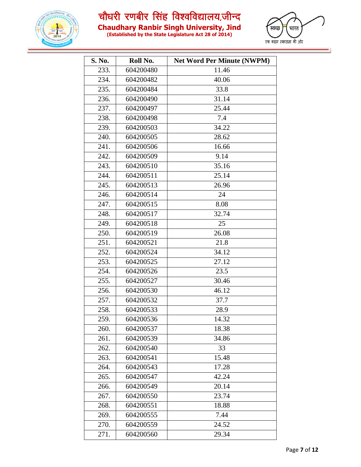



| S. No. | Roll No.  | <b>Net Word Per Minute (NWPM)</b> |
|--------|-----------|-----------------------------------|
| 233.   | 604200480 | 11.46                             |
| 234.   | 604200482 | 40.06                             |
| 235.   | 604200484 | 33.8                              |
| 236.   | 604200490 | 31.14                             |
| 237.   | 604200497 | 25.44                             |
| 238.   | 604200498 | 7.4                               |
| 239.   | 604200503 | 34.22                             |
| 240.   | 604200505 | 28.62                             |
| 241.   | 604200506 | 16.66                             |
| 242.   | 604200509 | 9.14                              |
| 243.   | 604200510 | 35.16                             |
| 244.   | 604200511 | 25.14                             |
| 245.   | 604200513 | 26.96                             |
| 246.   | 604200514 | 24                                |
| 247.   | 604200515 | 8.08                              |
| 248.   | 604200517 | 32.74                             |
| 249.   | 604200518 | 25                                |
| 250.   | 604200519 | 26.08                             |
| 251.   | 604200521 | 21.8                              |
| 252.   | 604200524 | 34.12                             |
| 253.   | 604200525 | 27.12                             |
| 254.   | 604200526 | 23.5                              |
| 255.   | 604200527 | 30.46                             |
| 256.   | 604200530 | 46.12                             |
| 257.   | 604200532 | 37.7                              |
| 258.   | 604200533 | 28.9                              |
| 259.   | 604200536 | 14.32                             |
| 260.   | 604200537 | 18.38                             |
| 261.   | 604200539 | 34.86                             |
| 262.   | 604200540 | 33                                |
| 263.   | 604200541 | 15.48                             |
| 264.   | 604200543 | 17.28                             |
| 265.   | 604200547 | 42.24                             |
| 266.   | 604200549 | 20.14                             |
| 267.   | 604200550 | 23.74                             |
| 268.   | 604200551 | 18.88                             |
| 269.   | 604200555 | 7.44                              |
| 270.   | 604200559 | 24.52                             |
| 271.   | 604200560 | 29.34                             |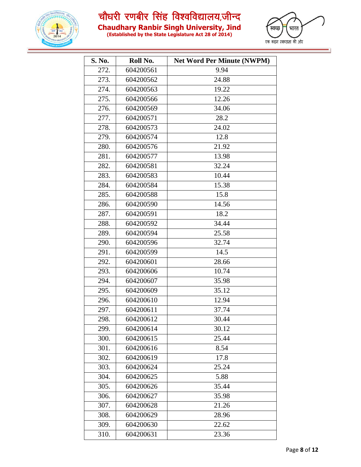

**Chaudhary Ranbir Singh University, Jind**



| S. No. | Roll No.  | <b>Net Word Per Minute (NWPM)</b> |
|--------|-----------|-----------------------------------|
| 272.   | 604200561 | 9.94                              |
| 273.   | 604200562 | 24.88                             |
| 274.   | 604200563 | 19.22                             |
| 275.   | 604200566 | 12.26                             |
| 276.   | 604200569 | 34.06                             |
| 277.   | 604200571 | 28.2                              |
| 278.   | 604200573 | 24.02                             |
| 279.   | 604200574 | 12.8                              |
| 280.   | 604200576 | 21.92                             |
| 281.   | 604200577 | 13.98                             |
| 282.   | 604200581 | 32.24                             |
| 283.   | 604200583 | 10.44                             |
| 284.   | 604200584 | 15.38                             |
| 285.   | 604200588 | 15.8                              |
| 286.   | 604200590 | 14.56                             |
| 287.   | 604200591 | 18.2                              |
| 288.   | 604200592 | 34.44                             |
| 289.   | 604200594 | 25.58                             |
| 290.   | 604200596 | 32.74                             |
| 291.   | 604200599 | 14.5                              |
| 292.   | 604200601 | 28.66                             |
| 293.   | 604200606 | 10.74                             |
| 294.   | 604200607 | 35.98                             |
| 295.   | 604200609 | 35.12                             |
| 296.   | 604200610 | 12.94                             |
| 297.   | 604200611 | 37.74                             |
| 298.   | 604200612 | 30.44                             |
| 299.   | 604200614 | 30.12                             |
| 300.   | 604200615 | 25.44                             |
| 301.   | 604200616 | 8.54                              |
| 302.   | 604200619 | 17.8                              |
| 303.   | 604200624 | 25.24                             |
| 304.   | 604200625 | 5.88                              |
| 305.   | 604200626 | 35.44                             |
| 306.   | 604200627 | 35.98                             |
| 307.   | 604200628 | 21.26                             |
| 308.   | 604200629 | 28.96                             |
| 309.   | 604200630 | 22.62                             |
| 310.   | 604200631 | 23.36                             |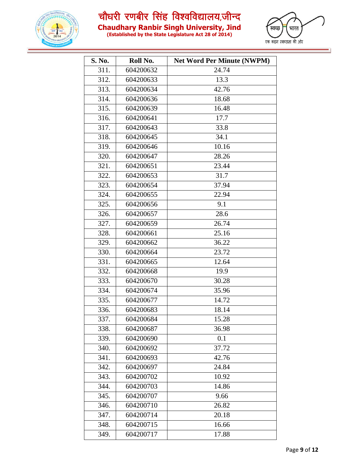

**Chaudhary Ranbir Singh University, Jind**



| S. No. | Roll No.  | <b>Net Word Per Minute (NWPM)</b> |
|--------|-----------|-----------------------------------|
| 311.   | 604200632 | 24.74                             |
| 312.   | 604200633 | 13.3                              |
| 313.   | 604200634 | 42.76                             |
| 314.   | 604200636 | 18.68                             |
| 315.   | 604200639 | 16.48                             |
| 316.   | 604200641 | 17.7                              |
| 317.   | 604200643 | 33.8                              |
| 318.   | 604200645 | 34.1                              |
| 319.   | 604200646 | 10.16                             |
| 320.   | 604200647 | 28.26                             |
| 321.   | 604200651 | 23.44                             |
| 322.   | 604200653 | 31.7                              |
| 323.   | 604200654 | 37.94                             |
| 324.   | 604200655 | 22.94                             |
| 325.   | 604200656 | 9.1                               |
| 326.   | 604200657 | 28.6                              |
| 327.   | 604200659 | 26.74                             |
| 328.   | 604200661 | 25.16                             |
| 329.   | 604200662 | 36.22                             |
| 330.   | 604200664 | 23.72                             |
| 331.   | 604200665 | 12.64                             |
| 332.   | 604200668 | 19.9                              |
| 333.   | 604200670 | 30.28                             |
| 334.   | 604200674 | 35.96                             |
| 335.   | 604200677 | 14.72                             |
| 336.   | 604200683 | 18.14                             |
| 337.   | 604200684 | 15.28                             |
| 338.   | 604200687 | 36.98                             |
| 339.   | 604200690 | 0.1                               |
| 340.   | 604200692 | 37.72                             |
| 341.   | 604200693 | 42.76                             |
| 342.   | 604200697 | 24.84                             |
| 343.   | 604200702 | 10.92                             |
| 344.   | 604200703 | 14.86                             |
| 345.   | 604200707 | 9.66                              |
| 346.   | 604200710 | 26.82                             |
| 347.   | 604200714 | 20.18                             |
| 348.   | 604200715 | 16.66                             |
| 349.   | 604200717 | 17.88                             |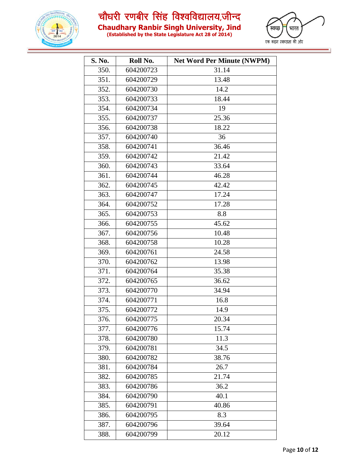

**Chaudhary Ranbir Singh University, Jind**



| S. No. | Roll No.  | <b>Net Word Per Minute (NWPM)</b> |
|--------|-----------|-----------------------------------|
| 350.   | 604200723 | 31.14                             |
| 351.   | 604200729 | 13.48                             |
| 352.   | 604200730 | 14.2                              |
| 353.   | 604200733 | 18.44                             |
| 354.   | 604200734 | 19                                |
| 355.   | 604200737 | 25.36                             |
| 356.   | 604200738 | 18.22                             |
| 357.   | 604200740 | 36                                |
| 358.   | 604200741 | 36.46                             |
| 359.   | 604200742 | 21.42                             |
| 360.   | 604200743 | 33.64                             |
| 361.   | 604200744 | 46.28                             |
| 362.   | 604200745 | 42.42                             |
| 363.   | 604200747 | 17.24                             |
| 364.   | 604200752 | 17.28                             |
| 365.   | 604200753 | 8.8                               |
| 366.   | 604200755 | 45.62                             |
| 367.   | 604200756 | 10.48                             |
| 368.   | 604200758 | 10.28                             |
| 369.   | 604200761 | 24.58                             |
| 370.   | 604200762 | 13.98                             |
| 371.   | 604200764 | 35.38                             |
| 372.   | 604200765 | 36.62                             |
| 373.   | 604200770 | 34.94                             |
| 374.   | 604200771 | 16.8                              |
| 375.   | 604200772 | 14.9                              |
| 376.   | 604200775 | 20.34                             |
| 377.   | 604200776 | 15.74                             |
| 378.   | 604200780 | 11.3                              |
| 379.   | 604200781 | 34.5                              |
| 380.   | 604200782 | 38.76                             |
| 381.   | 604200784 | 26.7                              |
| 382.   | 604200785 | 21.74                             |
| 383.   | 604200786 | 36.2                              |
| 384.   | 604200790 | 40.1                              |
| 385.   | 604200791 | 40.86                             |
| 386.   | 604200795 | 8.3                               |
| 387.   | 604200796 | 39.64                             |
| 388.   | 604200799 | 20.12                             |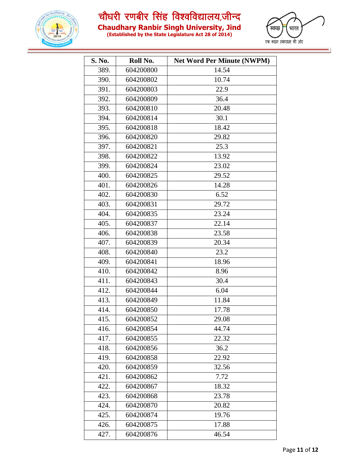



| S. No. | Roll No.  | <b>Net Word Per Minute (NWPM)</b> |
|--------|-----------|-----------------------------------|
| 389.   | 604200800 | 14.54                             |
| 390.   | 604200802 | 10.74                             |
| 391.   | 604200803 | 22.9                              |
| 392.   | 604200809 | 36.4                              |
| 393.   | 604200810 | 20.48                             |
| 394.   | 604200814 | 30.1                              |
| 395.   | 604200818 | 18.42                             |
| 396.   | 604200820 | 29.82                             |
| 397.   | 604200821 | 25.3                              |
| 398.   | 604200822 | 13.92                             |
| 399.   | 604200824 | 23.02                             |
| 400.   | 604200825 | 29.52                             |
| 401.   | 604200826 | 14.28                             |
| 402.   | 604200830 | 6.52                              |
| 403.   | 604200831 | 29.72                             |
| 404.   | 604200835 | 23.24                             |
| 405.   | 604200837 | 22.14                             |
| 406.   | 604200838 | 23.58                             |
| 407.   | 604200839 | 20.34                             |
| 408.   | 604200840 | 23.2                              |
| 409.   | 604200841 | 18.96                             |
| 410.   | 604200842 | 8.96                              |
| 411.   | 604200843 | 30.4                              |
| 412.   | 604200844 | 6.04                              |
| 413.   | 604200849 | 11.84                             |
| 414.   | 604200850 | 17.78                             |
| 415.   | 604200852 | 29.08                             |
| 416.   | 604200854 | 44.74                             |
| 417.   | 604200855 | 22.32                             |
| 418.   | 604200856 | 36.2                              |
| 419.   | 604200858 | 22.92                             |
| 420.   | 604200859 | 32.56                             |
| 421.   | 604200862 | 7.72                              |
| 422.   | 604200867 | 18.32                             |
| 423.   | 604200868 | 23.78                             |
| 424.   | 604200870 | 20.82                             |
| 425.   | 604200874 | 19.76                             |
| 426.   | 604200875 | 17.88                             |
| 427.   | 604200876 | 46.54                             |